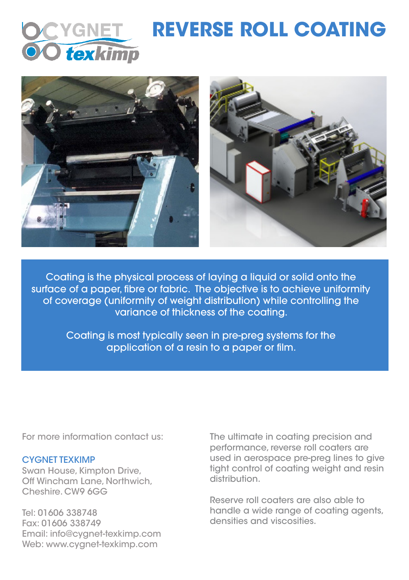

## **REVERSE ROLL COATING**



Coating is the physical process of laying a liquid or solid onto the surface of a paper, fibre or fabric. The objective is to achieve uniformity of coverage (uniformity of weight distribution) while controlling the variance of thickness of the coating.

> Coating is most typically seen in pre-preg systems for the application of a resin to a paper or film.

## CYGNET TEXKIMP

Swan House, Kimpton Drive, Off Wincham Lane, Northwich, Cheshire. CW9 6GG

Tel: 01606 338748 Fax: 01606 338749 Email: info@cygnet-texkimp.com Web: www.cygnet-texkimp.com

For more information contact us: The ultimate in coating precision and performance, reverse roll coaters are used in aerospace pre-preg lines to give tight control of coating weight and resin distribution.

> Reserve roll coaters are also able to handle a wide range of coating agents, densities and viscosities.